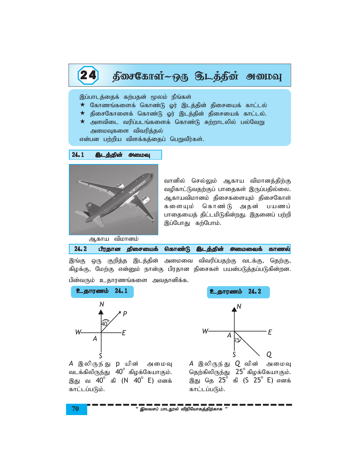# 24 நீசைகோள்~ஒரு தெடத்தின் அமைவு

இப்பாடத்தைக் கற்பதன் மூலம் நீங்கள்

- $\star$  கோணங்களைக் கொண்டு ஓர் இடத்தின் திசையைக் காட்டல்
- $\star$  திசைகோளைக் கொண்டு ஓர் இடத்தின் திசையைக் காட்டல்.
- $\star$  அளவிடை வரிப்படங்களைக் கொண்டு சுற்றாடலில் பல்வேறு அமைவுகளை விவரித்தல்

என்பன பற்றிய விளக்கத்தைப் பெறுவீர்கள்.





வானில் செல்லும் ஆகாய விமானத்திற்கு வழிகாட்டுவதற்குப் பாதைகள் இருப்பதில்லை. ஆகாயவிமானம் திசைகளையும் திசைகோள் களையும் கொண்டு அதன் பயணப் பாதையைத் திட்டமிடுகின்றது. இதனைப் பற்றி இப்போது கற்போம்.

|  |  |  |  |  | 24.2 பீரதான திசையைக் கொண்டு <b>இடத்தின் அமைவைக்</b> காணல் |  |
|--|--|--|--|--|-----------------------------------------------------------|--|
|--|--|--|--|--|-----------------------------------------------------------|--|

இங்கு ஒரு குறித்த இடத்தின் அமைவை விவரிப்பதற்கு வடக்கு, தெற்கு, கிழக்கு, மேற்கு என்னும் நான்கு பிரதான திசைகள் பயன்படுத்தப்படுகின்றன.



பின்வரும் உதாரணங்களை அவதானிக்க.



*A* இலிருந்து p யின் அமைவு வடக்கிலிருந்து  $40^{\circ}$  கிழக்கேயாகும். இது வ 40<sup>°</sup> கி (N 40<sup>°</sup> E) எனக் காட்டப்படும்.

*A* இலிருந்து *Q* வின் அமைவு தெற்கிலிருந்து  $25^{\circ}$  கிழக்கேயாகும். ,J nj 25<sup>o</sup> fp (S 25<sup>o</sup>E) vdf; காட்டப்படும்.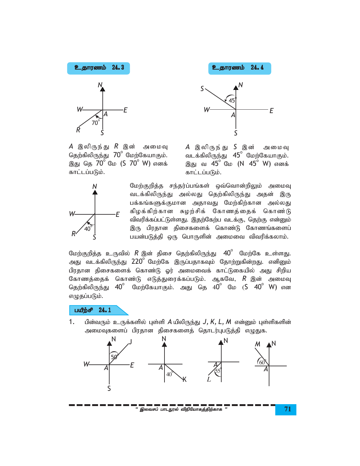



 $A$  இலிருந்து  $R$  இன் அமைவு தெற்கிலிருந்து  $70^{\circ}$  மேற்கேயாகும். இது தெ 70<sup>°</sup> மே (S 70<sup>°</sup> W) எனக் காட்டப்படும்.

 $A$  இலிருந்து  $S$  இன் அமைவு வடக்கிலிருந்து 45<sup>°</sup> மேற்கேயாகும். இது வ 45<sup>°</sup> மே (N 45<sup>°</sup> W) எனக் காட்டப்படும்.



மேற்குறித்த சந்தர்ப்பங்கள் ஒவ்வொன்றிலும் அமைவு வடக்கிலிருந்து அல்லது தெற்கிலிருந்து அதன் இரு பக்கங்களுக்குமான அதாவது மேற்கிற்கான அல்லது கிழக்கிற்கான சுழற்சிக் கோணத்தைக் கொண்டு விவரிக்கப்பட்டுள்ளது. இதற்கேற்ப வடக்கு, தெற்கு என்னும் இரு பிரதான திசைகளைக் கொண்டு கோணங்களைப் பயன்படுத்தி ஒரு பொருளின் அமைவை விவரிக்கலாம்.

மேற்குறித்த உருவில்  $R$  இன் திசை தெற்கிலிருந்து  $\,$   $40^{\circ}$  மேற்கே உள்ளது. அது வடக்கிலிருந்து 220<sup>0</sup> மேற்கே இருப்பதாகவும் தோற்றுகின்றது. எனினும் பிரதான திசைகளைக் கொண்டு ஓர் அமைவைக் காட்டுகையில் அது சிறிய கோணத்தைக் கொண்டு எடுத்துரைக்கப்படும். ஆகவே, *R* இன் அமைவு தெற்கிலிருந்து  $40^{\circ}$  மேற்கேயாகும். அது தெ  $40^{\circ}$  மே (S  $40^{\circ}$  W) என எழுதப்படும்.

# பயீற்சி 24.1

பின்வரும் உருக்களில் புள்ளி  $A$ யிலிருந்து  $J, K, L, M$  என்னும் புள்ளிகளின்  $1<sub>1</sub>$ அமைவுகளைப் பிரதான திசைகளைத் தொடர்புபடுத்தி எழுதுக.



" இலவசப் பாடநூல் விநியோகத்திற்காக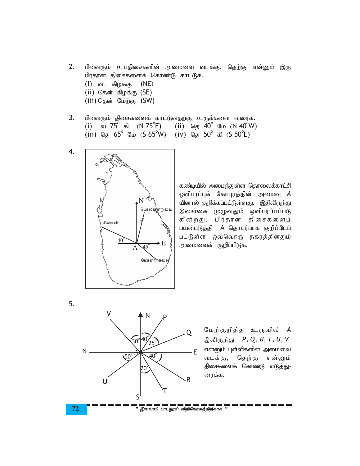- 2. பின்வரும் உபதிசைகளின் அமைவை வடக்கு, தெற்கு என்னும் இரு பிரதான திசைகளைக் கொண்டு காட்டுக.
	- $(i)$  வட கிழக்கு  $(NE)$
	- (ii) தென் கிழக்கு  $(SE)$
	- (iii) தென் மேற்கு  $(SW)$
- 3. பின்வரும் திசைகளைக் காட்டுவதற்கு உருக்களை வரைக. (i) a  $75^{\circ}$  as  $(N 75^{\circ}E)$  (ii)  $\omega_5$  40°  $\omega_6$  (N 40°W) (iii) தெ 65<sup>o</sup> மே (S 65<sup>o</sup>W) (iv) தெ 50<sup>o</sup> கி (S 50<sup>o</sup>E)



கண்டியில் அமைந்துள்ள தொலைக்காட்சி  $\varphi$ ளிபரப்புக் கோபுரத்தின் அமைவு  $A$ யினால் குறிக்கப்பட்டுள்ளது. இதிலிருந்து இலங்கை முழுவதும் ஒளிபரப்பப்படு கின்றது. பிரதான திசைகளைப் பயன்படுத்தி A தொடர்பாக குறிப்பிடப் பட்டுள்ள ஒவ்வொரு நகரத்தினதும் அமைவைக் குறிப்பிடுக.

5.



மேற்குறித்த உருவில் *A* இலிருந்து *P*, *Q*, *R*, *T*, *U*, *V* என்னும் புள்ளிகளின் அமைவை வடக்கு, தெற்கு என்னும் திசைகளைக் கொண்டு எடுத்து-ரைக்க.

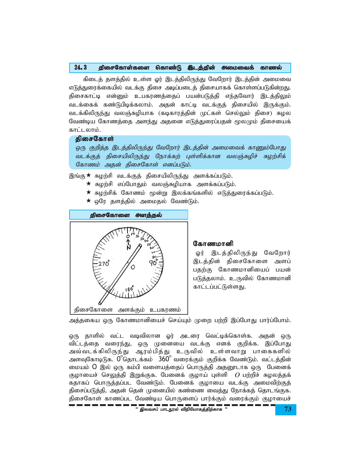### 24.3 திசைகோள்களை கொண்டு இடத்தின் அமைவைக் காணல்

கிடைத் தளத்தில் உள்ள ஓர் இடத்திலிருந்து வேறோர் இடத்தின் அமைவை எடுத்துரைக்கையில் வடக்கு திசை அடிப்படைத் திசையாகக் கொள்ளப்படுகின்றது. திசைகாட்டி என்னும் உபகரணத்தைப் பயன்படுத்தி எந்தவோர் இடத்திலும் வடக்கைக் கண்டுபிடிக்கலாம். அதன் காட்டி வடக்குத் திசையில் இருக்கும். வடக்கிலிருந்து வலஞ்சுழியாக (கடிகாரத்தின் முட்கள் செல்லும் திசை) சுழல வேண்டிய கோணத்தை அளந்து அதனை எடுத்துரைப்பதன் மூலமும் திசையைக் காட்டலாம்.

## திசைகோள்

ஒரு குறித்த இடத்திலிருந்து வேறோர் இடத்தின் அமைவைக் காணும்போது வடக்குத் திசையிலிருந்து நோக்கற் புள்ளிக்கான வலஞ்சுழிச் சுழற்சிக் கோணம் அதன் திசைகோள் எனப்படும்.

இங்கு $\star$  சுழற்சி வடக்குத் திசையிலிருந்து அளக்கப்படும்.

- $\star$  சுழற்சி எப்போதும் வலஞ்சுழியாக அளக்கப்படும்.
- $\bigstar$  சுழற்சிக் கோணம் மூன்று இலக்கங்களில் எடுத்துரைக்கப்படும்.
- $\star$  ஒரே தளத்தில் அமைதல் வேண்டும்.



#### கோணமானி

ஓர் இடத்திலிருந்து வேறோர் இடத்தின் திசைகோளை அளப் பதற்கு கோணமானியைப் பயன் படுத்தலாம். உருவில் கோணமானி காட்டப்பட்டுள்ளது.

அத்தகைய ஒரு கோணமானியைச் செய்யும் முறை பற்றி இப்போது பார்ப்போம்.

' ,ytrg; ghlE}y; tpepNahfj;jpw;fhf " **73** ஒரு தாளில் வட்ட வடிவிலான ஓர் அடரை வெட்டிக்கொள்க. அதன் ஒரு விட்டத்தை வரைந்து, ஒரு முனையை வடக்கு எனக் குறிக்க. இப்போது அவ்வடக்கிலிருந்து ஆரம்பித்து உருவில் உள்ளவாறு பாகைகளில் அளவுகோடிடுக. 0°தொடக்கம் 360° வரைக்கும் குறிக்க வேண்டும். வட்டத்தின் மையம் O இல் ஒரு கம்பி வளையத்தைப் பொருத்தி அதனூடாக ஒரு பேனைக் குழாயைச் செலுத்தி இறுக்குக. பேனைக் குழாய் புள்ளி *O* பற்றிச் சுழலத்தக் கதாகப் பொருத்தப்பட வேண்டும். பேனைக் குழாயை வடக்கு அமைவிற்குத் திசைப்படுத்தி, அதன் தென் முனையில் கண்ணை வைத்து நோக்கத் தொடங்குக. திசைகோள் காணப்பட வேண்டிய பொருளைப் பார்க்கும் வரைக்கும் குழாயைச்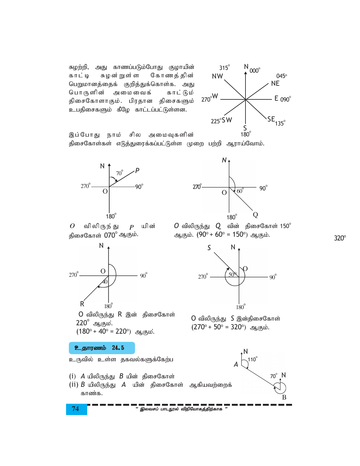சுழற்றி, அது காணப்படும்போது குழாயின் சுழன்றுள்ள கோணத்தின் காட்டி பெறுமானத்தைக் குறித்துக்கொள்க. அது காட்டும் பொருளின் அமைவைக் திசைகோளாகும். பிரதான திசைகளும் உபதிசைகளும் கீழே காட்டப்பட்டுள்ளன.



இப்போது நாம் சில அமைவுகளின் திசைகோள்கள் எடுத்துரைக்கப்பட்டுள்ள முறை பற்றி ஆராய்வோம்.

 $P$  யின்



விலிருந் து

திசைகோள் 070° ஆகும்.

 $\overline{O}$ 



N

 $50<sup>8</sup>$ 

 $180^\circ$ 

 $O$  விலிருந்து  $O$  வின் திசைகோள் 150 $^{\circ}$ ஆகும்.  $(90^{\circ} + 60^{\circ} = 150^{\circ})$  ஆகும்.

 $\mathsf S$ 

 $270^\circ$ 



O விலிருந்து R இன் திசைகோள்  $220^\circ$  ஆகும்.  $(180^{\circ} + 40^{\circ} = 220^{\circ})$  ஆகும்.

உதாரணம் 24.5

உருவில் உள்ள தகவல்களுக்கேற்ப

- (i)  $A$  யிலிருந்து  $B$  யின் திசைகோள்
- (ii)  $B$  யிலிருந்து  $A$  யின் திசைகோள் ஆகியவற்றைக் காண்க.



 $90^\circ$ 



..<br>" இலவசப் பாடநூல் விநியோகத்திற்காக "

 $320^\circ$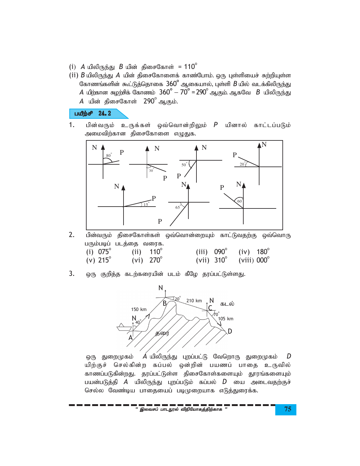- $(i)$  *A* யிலிருந்து *B* யின் திசைகோள் = 110<sup>o</sup>
- (ii) *B* யிலிருந்து *A* யின் திசைகோளைக் காண்போம். ஒரு புள்ளியைச் சுற்றியுள்ள கோணங்களின் கூட்டுத்தொகை  $360^\circ$  ஆகையால், புள்ளி  $B$ யில் வடக்கிலிருந்து  $A$  யிற்கான சுழற்சிக் கோணம்  $360^\circ - 70^\circ$  = 290 $^\circ$  ஆகும். ஆகவே  $\,$   $\,$  B யிலிருந்து *A* யின் திசைகோள் 290<sup>°</sup> ஆகும்.

# $L^2$

1. பின்வரும் உருக்கள் ஒவ்வொன்றிலும் *P* யினால் காட்டப்படும் அமைவிற்கான திசைகோளை எழுதுக.



- 2. பின்வரும் திசைகோள்கள் ஒவ்வொன்றையும் காட்டுவதற்கு ஒவ்வொரு பரும்படிப் படத்தை வரைக.  $(i) 075^{\circ}$  $(ii)$  110 $^{\circ}$  $(iii)$  090 $^{\circ}$  $(iv) 180^{\circ}$ (v)  $215^{\circ}$ (vi)  $270^{\circ}$ (vii)  $310^\circ$ (viii)  $000^\circ$
- 3. ஒரு குறித்த கடற்கரையின் படம் கீழே தரப்பட்டுள்ளது.



<u>ஒரு துறை</u>முகம்  $\vec{A}$  யிலிருந்து புறப்பட்டு வேறொரு துறைமுகம்  $D$ யிற்குச் செல்கின்ற கப்பல் ஒன்றின் பயணப் பாதை உருவில் காணப்படுகின்றது. தரப்பட்டுள்ள திசைகோள்களையும் தூரங்களையும் பயன்படுத்தி *A* யிலிருந்து புறப்படும் கப்பல் *D* யை அடைவதற்குச் செல்ல வேண்டிய பாதையைப் படிமுறையாக எடுத்துரைக்க.